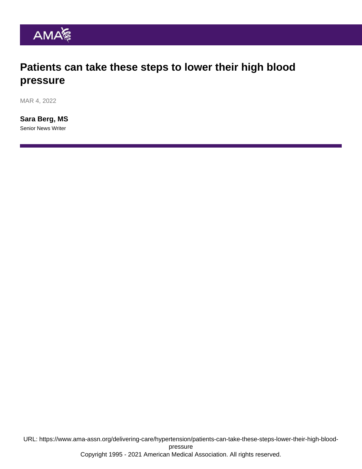### Patients can take these steps to lower their high blood pressure

MAR 4, 2022

[Sara Berg, MS](https://www.ama-assn.org/news-leadership-viewpoints/authors-news-leadership-viewpoints/sara-berg-ms) Senior News Writer

URL: [https://www.ama-assn.org/delivering-care/hypertension/patients-can-take-these-steps-lower-their-high-blood](https://www.ama-assn.org/delivering-care/hypertension/patients-can-take-these-steps-lower-their-high-blood-pressure)[pressure](https://www.ama-assn.org/delivering-care/hypertension/patients-can-take-these-steps-lower-their-high-blood-pressure) Copyright 1995 - 2021 American Medical Association. All rights reserved.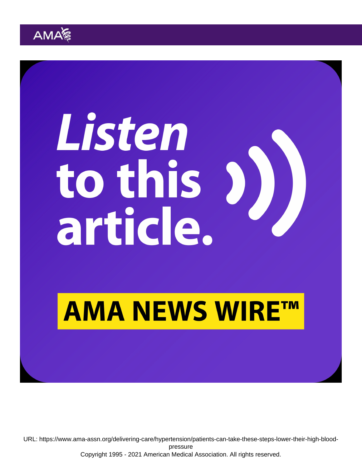URL: [https://www.ama-assn.org/delivering-care/hypertension/patients-can-take-these-steps-lower-their-high-blood](https://www.ama-assn.org/delivering-care/hypertension/patients-can-take-these-steps-lower-their-high-blood-pressure)[pressure](https://www.ama-assn.org/delivering-care/hypertension/patients-can-take-these-steps-lower-their-high-blood-pressure) Copyright 1995 - 2021 American Medical Association. All rights reserved.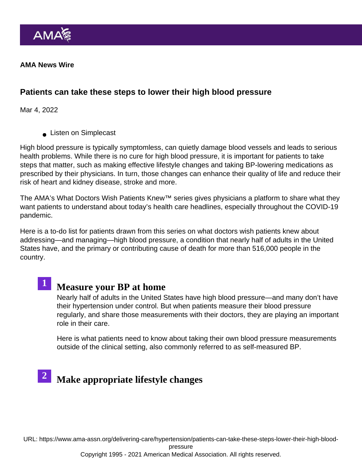AMA News Wire

Patients can take these steps to lower their high blood pressure

Mar 4, 2022

**Listen on Simplecast** 

High blood pressure is typically symptomless, can quietly damage blood vessels and leads to serious health problems. While there is no cure for high blood pressure, it is important for patients to take steps that matter, such as making effective lifestyle changes and taking BP-lowering medications as prescribed by their physicians. In turn, those changes can enhance their quality of life and reduce their risk of heart and kidney disease, stroke and more.

The AMA's [What Doctors Wish Patients Knew™](https://www.ama-assn.org/series/what-doctors-wish-patients-knew) series gives physicians a platform to share what they want patients to understand about today's health care headlines, especially throughout the COVID-19 pandemic.

Here is a to-do list for patients drawn from this series on what doctors wish patients knew about addressing—and managing—high blood pressure, a condition that nearly half of adults in the United States have, and the primary or contributing cause of death for more than 516,000 people in the country.



## 1 [Measure your BP at home](https://www.ama-assn.org/delivering-care/hypertension/what-doctors-wish-patients-knew-about-home-bp-measurement)

Nearly half of adults in the United States have high blood pressure—and many don't have their hypertension under control. But when patients measure their blood pressure regularly, and share those measurements with their doctors, they are playing an important role in their care.

Here is what patients need to know about taking their own blood pressure measurements outside of the clinical setting, also commonly referred to as [self-measured BP](https://targetbp.org/patient-measured-bp/).

# 2 [Make appropriate lifestyle changes](https://www.ama-assn.org/delivering-care/public-health/6-lifestyle-changes-doctors-wish-patients-would-make)

URL: [https://www.ama-assn.org/delivering-care/hypertension/patients-can-take-these-steps-lower-their-high-blood](https://www.ama-assn.org/delivering-care/hypertension/patients-can-take-these-steps-lower-their-high-blood-pressure)[pressure](https://www.ama-assn.org/delivering-care/hypertension/patients-can-take-these-steps-lower-their-high-blood-pressure)

Copyright 1995 - 2021 American Medical Association. All rights reserved.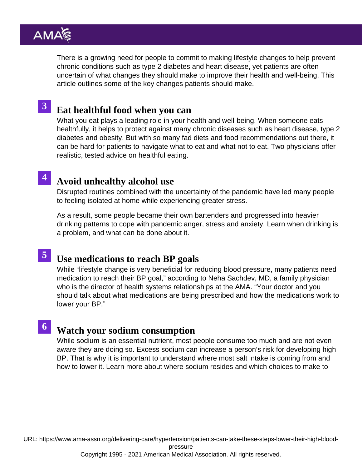There is a growing need for people to commit to making lifestyle changes to help prevent chronic conditions such as type 2 diabetes and heart disease, yet patients are often uncertain of what changes they should make to improve their health and well-being. This article outlines some of the key changes patients should make.

## 3 [Eat healthful food when you can](https://www.ama-assn.org/delivering-care/public-health/what-doctors-wish-patients-knew-about-healthy-eating)

What you eat plays a leading role in your health and well-being. When someone eats healthfully, it helps to protect against many chronic diseases such as heart disease, type 2 diabetes and obesity. But with so many fad diets and food recommendations out there, it can be hard for patients to navigate what to eat and what not to eat. Two physicians offer realistic, tested advice on healthful eating.

#### [Avoid unhealthy alcohol use](https://www.ama-assn.org/delivering-care/public-health/what-doctors-wish-patients-knew-about-unhealthy-alcohol-use) 4

Disrupted routines combined with the uncertainty of the pandemic have led many people to feeling isolated at home while experiencing greater stress.

As a result, some people became their own bartenders and progressed into heavier drinking patterns to cope with pandemic anger, stress and anxiety. Learn when drinking is a problem, and what can be done about it.

# 5 [Use medications to reach BP goa](https://www.ama-assn.org/delivering-care/hypertension/what-doctors-wish-patients-knew-about-high-blood-pressure)ls

While "lifestyle change is very beneficial for reducing blood pressure, many patients need medication to reach their BP goal," according to Neha Sachdev, MD, a family physician who is the director of health systems relationships at the AMA. "Your doctor and you should talk about what medications are being prescribed and how the medications work to lower your BP."

# 6 [Watch your sodium consumption](https://www.ama-assn.org/delivering-care/public-health/what-doctors-wish-patients-knew-about-sodium-consumption)

While sodium is an essential nutrient, most people consume too much and are not even aware they are doing so. Excess sodium can increase a person's risk for developing high BP. That is why it is important to understand where most salt intake is coming from and how to lower it. Learn more about where sodium resides and which choices to make to

URL: [https://www.ama-assn.org/delivering-care/hypertension/patients-can-take-these-steps-lower-their-high-blood-](https://www.ama-assn.org/delivering-care/hypertension/patients-can-take-these-steps-lower-their-high-blood-pressure)

[pressure](https://www.ama-assn.org/delivering-care/hypertension/patients-can-take-these-steps-lower-their-high-blood-pressure)